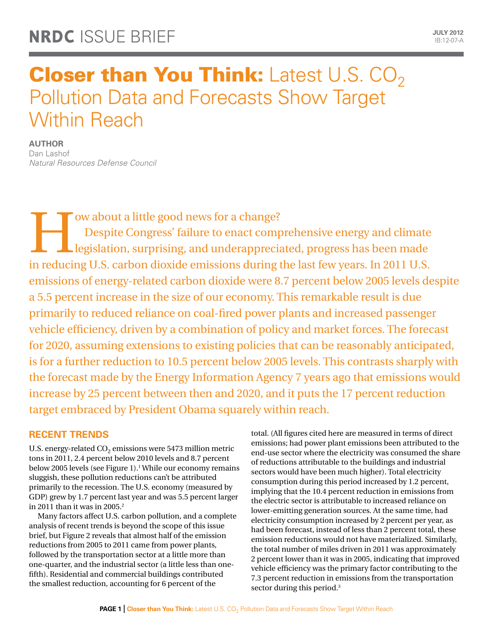# **Closer than You Think:** Latest U.S.  $CO<sub>2</sub>$ Pollution Data and Forecasts Show Target Within Reach

**Author**

Dan Lashof *Natural Resources Defense Council*

Despite Congress' failure to enact compression and underapprecise reducing H S, carbon dispide emissions during Despite Congress' failure to enact comprehensive energy and climate legislation, surprising, and underappreciated, progress has been made in reducing U.S. carbon dioxide emissions during the last few years. In 2011 U.S. emissions of energy-related carbon dioxide were 8.7 percent below 2005 levels despite a 5.5 percent increase in the size of our economy. This remarkable result is due primarily to reduced reliance on coal-fired power plants and increased passenger vehicle efficiency, driven by a combination of policy and market forces. The forecast for 2020, assuming extensions to existing policies that can be reasonably anticipated, is for a further reduction to 10.5 percent below 2005 levels. This contrasts sharply with the forecast made by the Energy Information Agency 7 years ago that emissions would increase by 25 percent between then and 2020, and it puts the 17 percent reduction target embraced by President Obama squarely within reach.

# **Recent Trends**

U.S. energy-related CO<sub>2</sub> emissions were 5473 million metric tons in 2011, 2.4 percent below 2010 levels and 8.7 percent below 2005 levels (see Figure 1).<sup>1</sup> While our economy remains sluggish, these pollution reductions can't be attributed primarily to the recession. The U.S. economy (measured by GDP) grew by 1.7 percent last year and was 5.5 percent larger in 2011 than it was in 2005. $2$ 

Many factors affect U.S. carbon pollution, and a complete analysis of recent trends is beyond the scope of this issue brief, but Figure 2 reveals that almost half of the emission reductions from 2005 to 2011 came from power plants, followed by the transportation sector at a little more than one-quarter, and the industrial sector (a little less than onefifth). Residential and commercial buildings contributed the smallest reduction, accounting for 6 percent of the

total. (All figures cited here are measured in terms of direct emissions; had power plant emissions been attributed to the end-use sector where the electricity was consumed the share of reductions attributable to the buildings and industrial sectors would have been much higher). Total electricity consumption during this period increased by 1.2 percent, implying that the 10.4 percent reduction in emissions from the electric sector is attributable to increased reliance on lower-emitting generation sources. At the same time, had electricity consumption increased by 2 percent per year, as had been forecast, instead of less than 2 percent total, these emission reductions would not have materialized. Similarly, the total number of miles driven in 2011 was approximately 2 percent lower than it was in 2005, indicating that improved vehicle efficiency was the primary factor contributing to the 7.3 percent reduction in emissions from the transportation sector during this period.<sup>3</sup>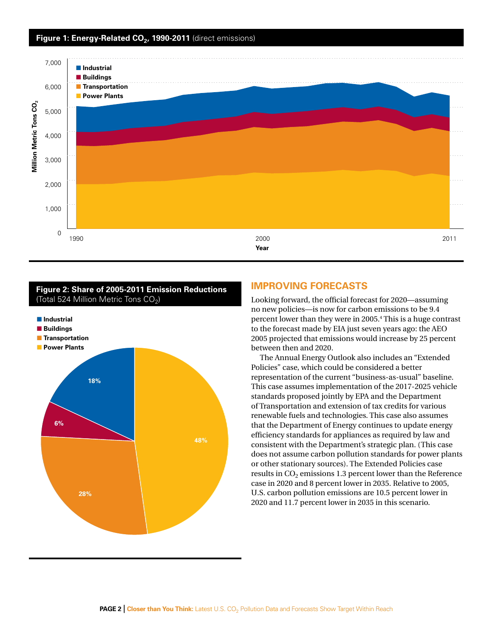### Figure 1: Energy-Related CO<sub>2</sub>, 1990-2011 (direct emissions)



#### **Figure 2: Share of 2005-2011 Emission Reductions**  (Total 524 Million Metric Tons  $CO<sub>2</sub>$ )



### **Improving Forecasts**

Looking forward, the official forecast for 2020—assuming no new policies—is now for carbon emissions to be 9.4 percent lower than they were in 2005.4 This is a huge contrast to the forecast made by EIA just seven years ago: the AEO 2005 projected that emissions would increase by 25 percent between then and 2020.

The Annual Energy Outlook also includes an "Extended Policies" case, which could be considered a better representation of the current "business-as-usual" baseline. This case assumes implementation of the 2017-2025 vehicle standards proposed jointly by EPA and the Department of Transportation and extension of tax credits for various renewable fuels and technologies. This case also assumes that the Department of Energy continues to update energy efficiency standards for appliances as required by law and consistent with the Department's strategic plan. (This case does not assume carbon pollution standards for power plants or other stationary sources). The Extended Policies case results in  $CO<sub>2</sub>$  emissions 1.3 percent lower than the Reference case in 2020 and 8 percent lower in 2035. Relative to 2005, U.S. carbon pollution emissions are 10.5 percent lower in 2020 and 11.7 percent lower in 2035 in this scenario.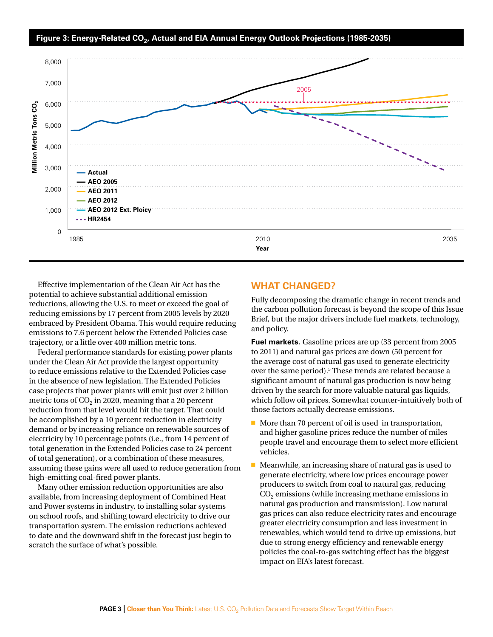

Effective implementation of the Clean Air Act has the potential to achieve substantial additional emission reductions, allowing the U.S. to meet or exceed the goal of reducing emissions by 17 percent from 2005 levels by 2020 embraced by President Obama. This would require reducing emissions to 7.6 percent below the Extended Policies case trajectory, or a little over 400 million metric tons.

Federal performance standards for existing power plants under the Clean Air Act provide the largest opportunity to reduce emissions relative to the Extended Policies case in the absence of new legislation. The Extended Policies case projects that power plants will emit just over 2 billion metric tons of  $CO<sub>2</sub>$  in 2020, meaning that a 20 percent reduction from that level would hit the target. That could be accomplished by a 10 percent reduction in electricity demand or by increasing reliance on renewable sources of electricity by 10 percentage points (i.e., from 14 percent of total generation in the Extended Policies case to 24 percent of total generation), or a combination of these measures, assuming these gains were all used to reduce generation from high-emitting coal-fired power plants.

Many other emission reduction opportunities are also available, from increasing deployment of Combined Heat and Power systems in industry, to installing solar systems on school roofs, and shifting toward electricity to drive our transportation system. The emission reductions achieved to date and the downward shift in the forecast just begin to scratch the surface of what's possible.

### **What Changed?**

Fully decomposing the dramatic change in recent trends and the carbon pollution forecast is beyond the scope of this Issue Brief, but the major drivers include fuel markets, technology, and policy.

**Fuel markets.** Gasoline prices are up (33 percent from 2005 to 2011) and natural gas prices are down (50 percent for the average cost of natural gas used to generate electricity over the same period).<sup>5</sup> These trends are related because a significant amount of natural gas production is now being driven by the search for more valuable natural gas liquids, which follow oil prices. Somewhat counter-intuitively both of those factors actually decrease emissions.

- $\blacksquare$  More than 70 percent of oil is used in transportation, and higher gasoline prices reduce the number of miles people travel and encourage them to select more efficient vehicles.
- $\blacksquare$  Meanwhile, an increasing share of natural gas is used to generate electricity, where low prices encourage power producers to switch from coal to natural gas, reducing  $CO<sub>2</sub>$  emissions (while increasing methane emissions in natural gas production and transmission). Low natural gas prices can also reduce electricity rates and encourage greater electricity consumption and less investment in renewables, which would tend to drive up emissions, but due to strong energy efficiency and renewable energy policies the coal-to-gas switching effect has the biggest impact on EIA's latest forecast.